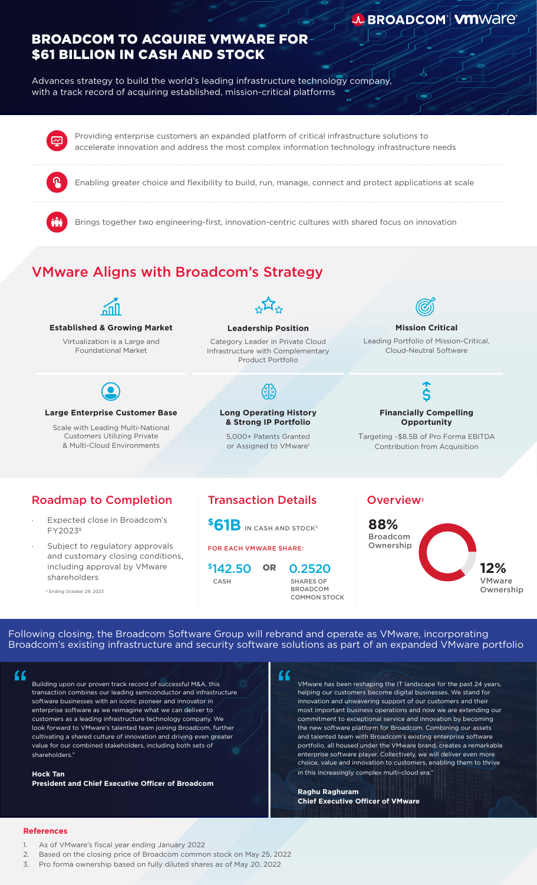# BROADCOM TO ACQUIRE VMWARE FOR \$61 BILLION IN CASH AND STOCK

Advances strategy to build the world's leading infrastructure technology company, with a track record of acquiring established, mission-critical platforms

> Providing enterprise customers an expanded platform of critical infrastructure solutions to accelerate innovation and address the most complex information technology infrastructure needs

Enabling greater choice and flexibility to build, run, manage, connect and protect applications at scale

Brings together two engineering-first, innovation-centric cultures with shared focus on innovation

# VMware Aligns with Broadcom's Strategy



**Established & Growing Market** Virtualization is a Large and Foundational Market



## **Large Enterprise Customer Base**

Scale with Leading Multi-National Customers Utilizing Private & Multi-Cloud Environments



## **Leadership Position**

Category Leader in Private Cloud Infrastructure with Complementary Product Portfolio

## **Long Operating History & Strong IP Portfolio**

5,000+ Patents Granted or Assigned to VMware<sup>1</sup>



## **Mission Critical**

**J. BROADCOM<sup>®</sup> VMWare®** 

Leading Portfolio of Mission-Critical, Cloud-Neutral Software

## Š **Financially Compelling Opportunity**

Targeting ~\$8.5B of Pro Forma EBITDA Contribution from Acquisition

## Roadmap to Completion

- Expected close in Broadcom's FY2023§
- Subject to regulatory approvals and customary closing conditions, including approval by VMware shareholders

§ Ending October 29, 2023

## **Transaction Details Coverview**<sup>3</sup>

**\$61B** IN CASH AND STOCK<sup>2</sup>

FOR EACH VMWARE SHARE:



0.2520 SHARES OF **BROADCOM** COMMON STOCK



Following closing, the Broadcom Software Group will rebrand and operate as VMware, incorporating Broadcom's existing infrastructure and security software solutions as part of an expanded VMware portfolio

Building upon our proven track record of successful M&A, this transaction combines our leading semiconductor and infrastructure software businesses with an iconic pioneer and innovator in enterprise software as we reimagine what we can deliver to customers as a leading infrastructure technology company. We look forward to VMware's talented team joining Broadcom, further cultivating a shared culture of innovation and driving even greater value for our combined stakeholders, including both sets of shareholders." Example 1 and 1 and 1 and 1 and 1 and 1 and 1 and 1 and 1 and 1 and 1 and 1 and 1 and 1 and 1 and 1 and 1 and 1 and 1 and 1 and 1 and 1 and 1 and 1 and 1 and 1 and 1 and 1 and 1 and 1 and 1 and 1 and 1 and 1 and 1 and 1 an

**Hock Tan President and Chief Executive Officer of Broadcom**

VMware has been reshaping the IT landscape for the past 24 years, helping our customers become digital businesses. We stand for innovation and unwavering support of our customers and their most important business operations and now we are extending our commitment to exceptional service and innovation by becoming the new software platform for Broadcom. Combining our assets and talented team with Broadcom's existing enterprise software portfolio, all housed under the VMware brand, creates a remarkable enterprise software player. Collectively, we will deliver even more choice, value and innovation to customers, enabling them to thrive in this increasingly complex multi-cloud era."

**Raghu Raghuram Chief Executive Officer of VMware**

## **References**

- 1. As of VMware's fiscal year ending January 2022
- 2. Based on the closing price of Broadcom common stock on May 25, 2022
- 3. Pro forma ownership based on fully diluted shares as of May 20, 2022